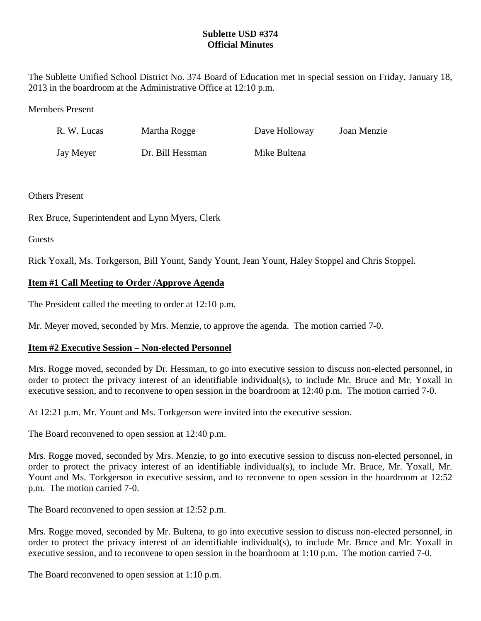### **Sublette USD #374 Official Minutes**

The Sublette Unified School District No. 374 Board of Education met in special session on Friday, January 18, 2013 in the boardroom at the Administrative Office at 12:10 p.m.

#### Members Present

| R. W. Lucas | Martha Rogge     | Dave Holloway | Joan Menzie |
|-------------|------------------|---------------|-------------|
| Jay Meyer   | Dr. Bill Hessman | Mike Bultena  |             |

#### Others Present

Rex Bruce, Superintendent and Lynn Myers, Clerk

**Guests** 

Rick Yoxall, Ms. Torkgerson, Bill Yount, Sandy Yount, Jean Yount, Haley Stoppel and Chris Stoppel.

# **Item #1 Call Meeting to Order /Approve Agenda**

The President called the meeting to order at 12:10 p.m.

Mr. Meyer moved, seconded by Mrs. Menzie, to approve the agenda. The motion carried 7-0.

# **Item #2 Executive Session – Non-elected Personnel**

Mrs. Rogge moved, seconded by Dr. Hessman, to go into executive session to discuss non-elected personnel, in order to protect the privacy interest of an identifiable individual(s), to include Mr. Bruce and Mr. Yoxall in executive session, and to reconvene to open session in the boardroom at 12:40 p.m. The motion carried 7-0.

At 12:21 p.m. Mr. Yount and Ms. Torkgerson were invited into the executive session.

The Board reconvened to open session at 12:40 p.m.

Mrs. Rogge moved, seconded by Mrs. Menzie, to go into executive session to discuss non-elected personnel, in order to protect the privacy interest of an identifiable individual(s), to include Mr. Bruce, Mr. Yoxall, Mr. Yount and Ms. Torkgerson in executive session, and to reconvene to open session in the boardroom at 12:52 p.m. The motion carried 7-0.

The Board reconvened to open session at 12:52 p.m.

Mrs. Rogge moved, seconded by Mr. Bultena, to go into executive session to discuss non-elected personnel, in order to protect the privacy interest of an identifiable individual(s), to include Mr. Bruce and Mr. Yoxall in executive session, and to reconvene to open session in the boardroom at 1:10 p.m. The motion carried 7-0.

The Board reconvened to open session at 1:10 p.m.